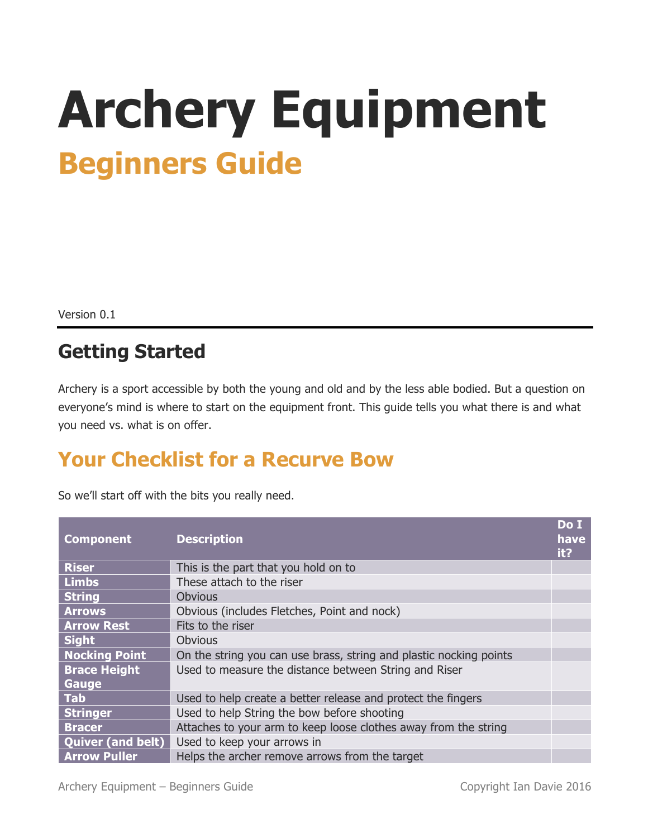# **Archery Equipment Beginners Guide**

Version 0.1

#### **Getting Started**

Archery is a sport accessible by both the young and old and by the less able bodied. But a question on everyone's mind is where to start on the equipment front. This guide tells you what there is and what you need vs. what is on offer.

#### **Your Checklist for a Recurve Bow**

| <b>Component</b>         | <b>Description</b>                                                 | Do I<br>have<br>it? |
|--------------------------|--------------------------------------------------------------------|---------------------|
| <b>Riser</b>             | This is the part that you hold on to                               |                     |
| <b>Limbs</b>             | These attach to the riser                                          |                     |
| <b>String</b>            | <b>Obvious</b>                                                     |                     |
| <b>Arrows</b>            | Obvious (includes Fletches, Point and nock)                        |                     |
| <b>Arrow Rest</b>        | Fits to the riser                                                  |                     |
| <b>Sight</b>             | <b>Obvious</b>                                                     |                     |
| <b>Nocking Point</b>     | On the string you can use brass, string and plastic nocking points |                     |
| <b>Brace Height</b>      | Used to measure the distance between String and Riser              |                     |
| Gauge                    |                                                                    |                     |
| <b>Tab</b>               | Used to help create a better release and protect the fingers       |                     |
| <b>Stringer</b>          | Used to help String the bow before shooting                        |                     |
| <b>Bracer</b>            | Attaches to your arm to keep loose clothes away from the string    |                     |
| <b>Quiver (and belt)</b> | Used to keep your arrows in                                        |                     |
| <b>Arrow Puller</b>      | Helps the archer remove arrows from the target                     |                     |

So we'll start off with the bits you really need.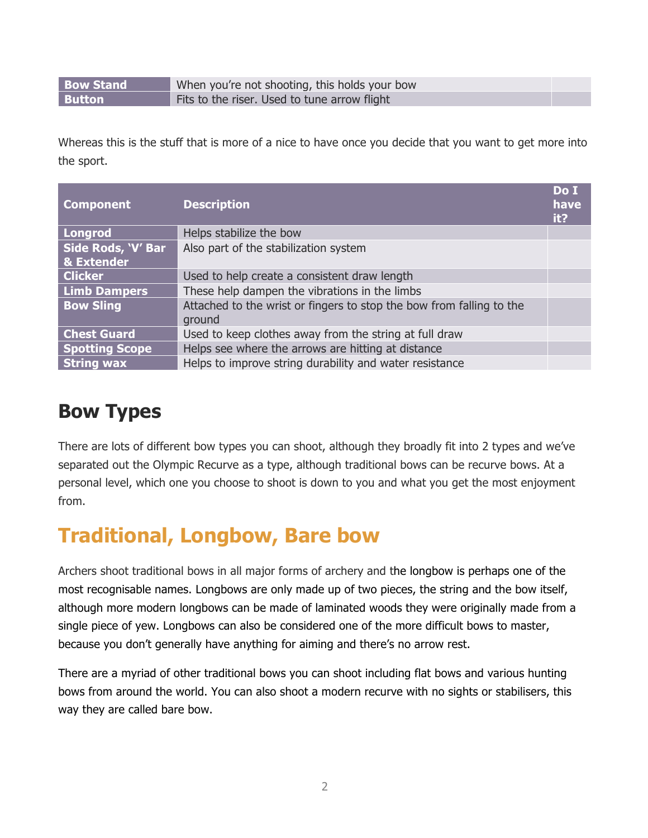**Bow Stand** When you're not shooting, this holds your bow **Button Fits to the riser. Used to tune arrow flight** 

Whereas this is the stuff that is more of a nice to have once you decide that you want to get more into the sport.

| <b>Component</b>                            | <b>Description</b>                                                             | Do I<br>have<br>it? |
|---------------------------------------------|--------------------------------------------------------------------------------|---------------------|
| Longrod                                     | Helps stabilize the bow                                                        |                     |
| Side Rods, 'V' Bar<br><b>&amp; Extender</b> | Also part of the stabilization system                                          |                     |
| <b>Clicker</b>                              | Used to help create a consistent draw length                                   |                     |
| <b>Limb Dampers</b>                         | These help dampen the vibrations in the limbs                                  |                     |
| <b>Bow Sling</b>                            | Attached to the wrist or fingers to stop the bow from falling to the<br>ground |                     |
| <b>Chest Guard</b>                          | Used to keep clothes away from the string at full draw                         |                     |
| <b>Spotting Scope</b>                       | Helps see where the arrows are hitting at distance                             |                     |
| <b>String wax</b>                           | Helps to improve string durability and water resistance                        |                     |

#### **Bow Types**

There are lots of different bow types you can shoot, although they broadly fit into 2 types and we've separated out the Olympic Recurve as a type, although traditional bows can be recurve bows. At a personal level, which one you choose to shoot is down to you and what you get the most enjoyment from.

### **Traditional, Longbow, Bare bow**

Archers shoot traditional bows in all major forms of archery and the longbow is perhaps one of the most recognisable names. Longbows are only made up of two pieces, the string and the bow itself, although more modern longbows can be made of laminated woods they were originally made from a single piece of yew. Longbows can also be considered one of the more difficult bows to master, because you don't generally have anything for aiming and there's no arrow rest.

There are a myriad of other traditional bows you can shoot including flat bows and various hunting bows from around the world. You can also shoot a modern recurve with no sights or stabilisers, this way they are called bare bow.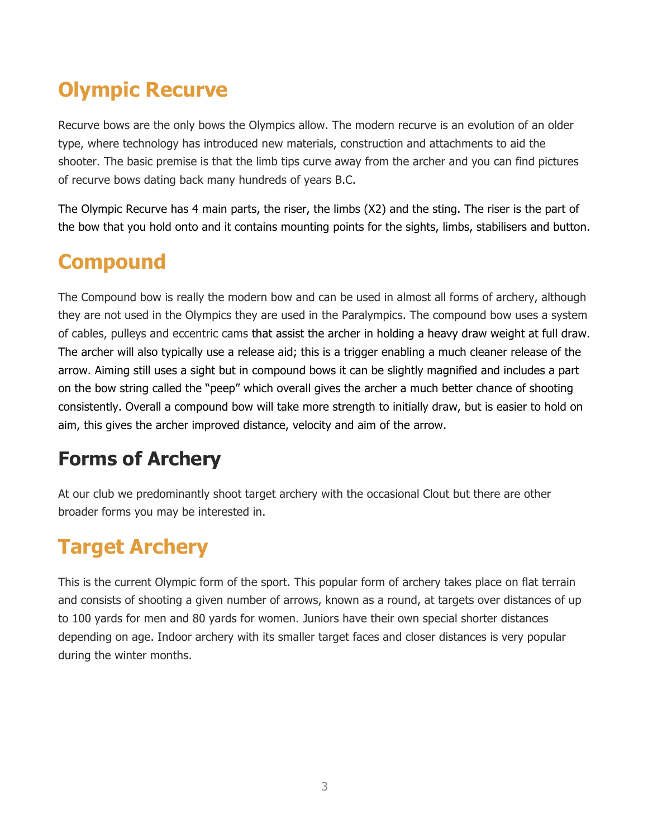## **Olympic Recurve**

Recurve bows are the only bows the Olympics allow. The modern recurve is an evolution of an older type, where technology has introduced new materials, construction and attachments to aid the shooter. The basic premise is that the limb tips curve away from the archer and you can find pictures of recurve bows dating back many hundreds of years B.C.

The Olympic Recurve has 4 main parts, the riser, the limbs (X2) and the sting. The riser is the part of the bow that you hold onto and it contains mounting points for the sights, limbs, stabilisers and button.

### **Compound**

The Compound bow is really the modern bow and can be used in almost all forms of archery, although they are not used in the Olympics they are used in the Paralympics. The compound bow uses a system of cables, pulleys and eccentric cams that assist the archer in holding a heavy draw weight at full draw. The archer will also typically use a release aid; this is a trigger enabling a much cleaner release of the arrow. Aiming still uses a sight but in compound bows it can be slightly magnified and includes a part on the bow string called the "peep" which overall gives the archer a much better chance of shooting consistently. Overall a compound bow will take more strength to initially draw, but is easier to hold on aim, this gives the archer improved distance, velocity and aim of the arrow.

### **Forms of Archery**

At our club we predominantly shoot target archery with the occasional Clout but there are other broader forms you may be interested in.

## **Target Archery**

This is the current Olympic form of the sport. This popular form of archery takes place on flat terrain and consists of shooting a given number of arrows, known as a round, at targets over distances of up to 100 yards for men and 80 yards for women. Juniors have their own special shorter distances depending on age. Indoor archery with its smaller target faces and closer distances is very popular during the winter months.